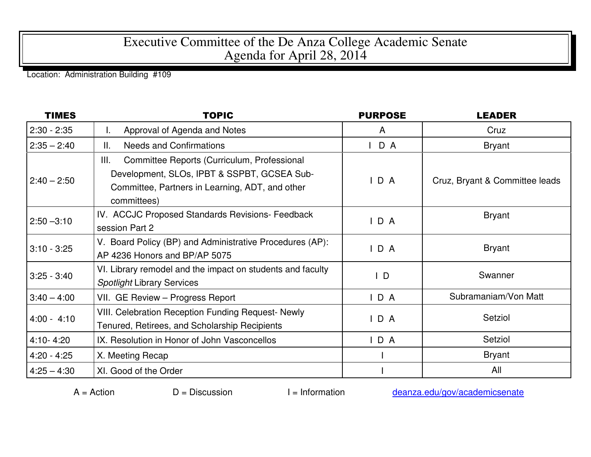## Executive Committee of the De Anza College Academic Senate Agenda for April 28, 2014

Location: Administration Building #109

| <b>TIMES</b>  | <b>TOPIC</b>                                                                                                                                                       | <b>PURPOSE</b> | <b>LEADER</b>                  |
|---------------|--------------------------------------------------------------------------------------------------------------------------------------------------------------------|----------------|--------------------------------|
| $2:30 - 2:35$ | Approval of Agenda and Notes<br>L.                                                                                                                                 | A              | Cruz                           |
| $2:35 - 2:40$ | <b>Needs and Confirmations</b><br>Ⅱ.                                                                                                                               | D A<br>I.      | <b>Bryant</b>                  |
| $2:40 - 2:50$ | Committee Reports (Curriculum, Professional<br>Ш.<br>Development, SLOs, IPBT & SSPBT, GCSEA Sub-<br>Committee, Partners in Learning, ADT, and other<br>committees) | D A            | Cruz, Bryant & Committee leads |
| $2:50 - 3:10$ | IV. ACCJC Proposed Standards Revisions- Feedback<br>session Part 2                                                                                                 | IDA            | <b>Bryant</b>                  |
| $3:10 - 3:25$ | V. Board Policy (BP) and Administrative Procedures (AP):<br>AP 4236 Honors and BP/AP 5075                                                                          | D A            | <b>Bryant</b>                  |
| $3:25 - 3:40$ | VI. Library remodel and the impact on students and faculty<br><b>Spotlight Library Services</b>                                                                    | $\mathsf{L}$   | Swanner                        |
| $3:40 - 4:00$ | VII. GE Review - Progress Report                                                                                                                                   | IDA            | Subramaniam/Von Matt           |
| $4:00 - 4:10$ | <b>VIII. Celebration Reception Funding Request- Newly</b><br>Tenured, Retirees, and Scholarship Recipients                                                         | D A            | Setziol                        |
| $4:10 - 4:20$ | IX. Resolution in Honor of John Vasconcellos                                                                                                                       | IDA            | Setziol                        |
| $4:20 - 4:25$ | X. Meeting Recap                                                                                                                                                   |                | <b>Bryant</b>                  |
| $4:25 - 4:30$ | XI. Good of the Order                                                                                                                                              |                | All                            |